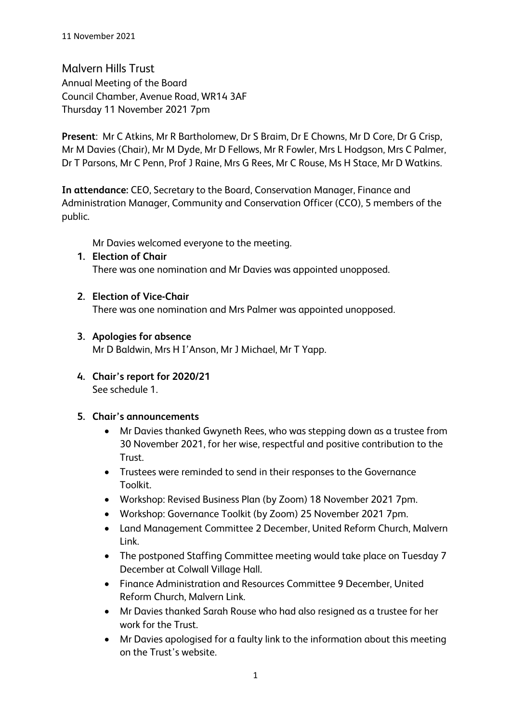Malvern Hills Trust Annual Meeting of the Board Council Chamber, Avenue Road, WR14 3AF Thursday 11 November 2021 7pm

**Present**: Mr C Atkins, Mr R Bartholomew, Dr S Braim, Dr E Chowns, Mr D Core, Dr G Crisp, Mr M Davies (Chair), Mr M Dyde, Mr D Fellows, Mr R Fowler, Mrs L Hodgson, Mrs C Palmer, Dr T Parsons, Mr C Penn, Prof J Raine, Mrs G Rees, Mr C Rouse, Ms H Stace, Mr D Watkins.

**In attendance:** CEO, Secretary to the Board, Conservation Manager, Finance and Administration Manager, Community and Conservation Officer (CCO), 5 members of the public.

Mr Davies welcomed everyone to the meeting.

- **1. Election of Chair** There was one nomination and Mr Davies was appointed unopposed.
- **2. Election of Vice-Chair**

There was one nomination and Mrs Palmer was appointed unopposed.

**3. Apologies for absence**

Mr D Baldwin, Mrs H I'Anson, Mr J Michael, Mr T Yapp.

**4. Chair's report for 2020/21** See schedule 1.

#### **5. Chair's announcements**

- Mr Davies thanked Gwyneth Rees, who was stepping down as a trustee from 30 November 2021, for her wise, respectful and positive contribution to the Trust.
- Trustees were reminded to send in their responses to the Governance Toolkit.
- Workshop: Revised Business Plan (by Zoom) 18 November 2021 7pm.
- Workshop: Governance Toolkit (by Zoom) 25 November 2021 7pm.
- Land Management Committee 2 December, United Reform Church, Malvern Link.
- The postponed Staffing Committee meeting would take place on Tuesday 7 December at Colwall Village Hall.
- Finance Administration and Resources Committee 9 December, United Reform Church, Malvern Link.
- Mr Davies thanked Sarah Rouse who had also resigned as a trustee for her work for the Trust.
- Mr Davies apologised for a faulty link to the information about this meeting on the Trust's website.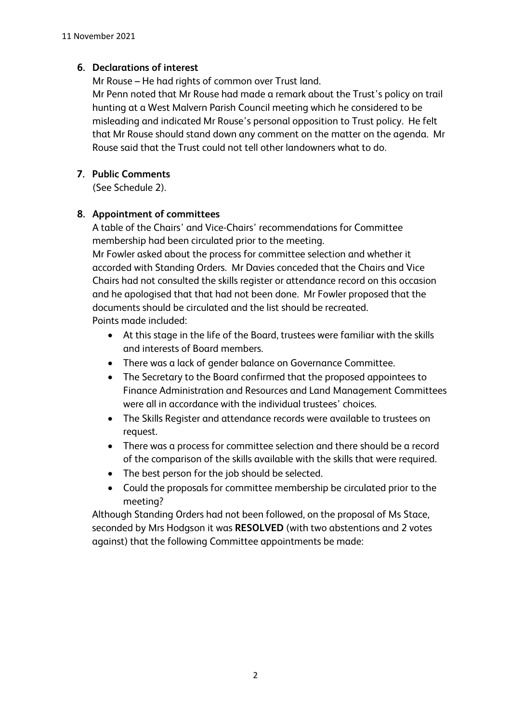## **6. Declarations of interest**

Mr Rouse – He had rights of common over Trust land.

Mr Penn noted that Mr Rouse had made a remark about the Trust's policy on trail hunting at a West Malvern Parish Council meeting which he considered to be misleading and indicated Mr Rouse's personal opposition to Trust policy. He felt that Mr Rouse should stand down any comment on the matter on the agenda. Mr Rouse said that the Trust could not tell other landowners what to do.

# **7. Public Comments**

(See Schedule 2).

# **8. Appointment of committees**

A table of the Chairs' and Vice-Chairs' recommendations for Committee membership had been circulated prior to the meeting. Mr Fowler asked about the process for committee selection and whether it accorded with Standing Orders. Mr Davies conceded that the Chairs and Vice Chairs had not consulted the skills register or attendance record on this occasion and he apologised that that had not been done. Mr Fowler proposed that the documents should be circulated and the list should be recreated.

Points made included:

- At this stage in the life of the Board, trustees were familiar with the skills and interests of Board members.
- There was a lack of gender balance on Governance Committee.
- The Secretary to the Board confirmed that the proposed appointees to Finance Administration and Resources and Land Management Committees were all in accordance with the individual trustees' choices.
- The Skills Register and attendance records were available to trustees on request.
- There was a process for committee selection and there should be a record of the comparison of the skills available with the skills that were required.
- The best person for the job should be selected.
- Could the proposals for committee membership be circulated prior to the meeting?

Although Standing Orders had not been followed, on the proposal of Ms Stace, seconded by Mrs Hodgson it was **RESOLVED** (with two abstentions and 2 votes against) that the following Committee appointments be made: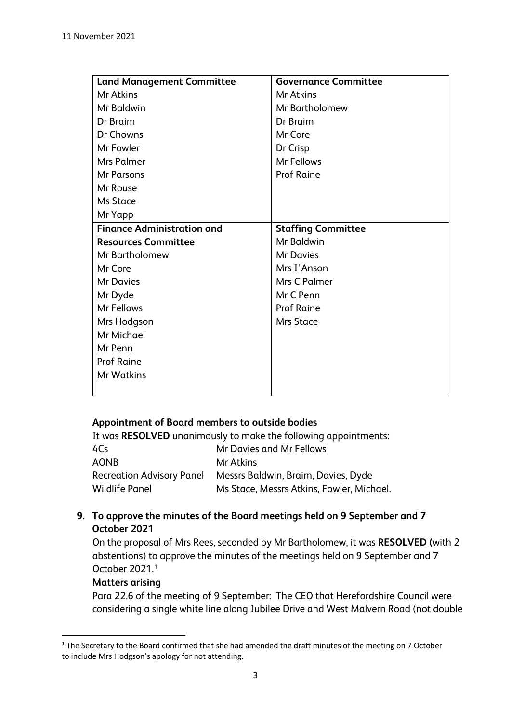| <b>Land Management Committee</b>  | <b>Governance Committee</b> |
|-----------------------------------|-----------------------------|
| Mr Atkins                         | Mr Atkins                   |
| Mr Baldwin                        | Mr Bartholomew              |
| Dr Braim                          | Dr Braim                    |
| Dr Chowns                         | Mr Core                     |
| Mr Fowler                         | Dr Crisp                    |
| Mrs Palmer                        | Mr Fellows                  |
| <b>Mr Parsons</b>                 | <b>Prof Raine</b>           |
| Mr Rouse                          |                             |
| <b>Ms Stace</b>                   |                             |
| Mr Yapp                           |                             |
| <b>Finance Administration and</b> | <b>Staffing Committee</b>   |
| <b>Resources Committee</b>        | Mr Baldwin                  |
| Mr Bartholomew                    | <b>Mr Davies</b>            |
| Mr Core                           | Mrs I'Anson                 |
| <b>Mr Davies</b>                  | Mrs C Palmer                |
| Mr Dyde                           | Mr C Penn                   |
| Mr Fellows                        | <b>Prof Raine</b>           |
| Mrs Hodgson                       | <b>Mrs Stace</b>            |
| Mr Michael                        |                             |
| Mr Penn                           |                             |
| <b>Prof Raine</b>                 |                             |
| <b>Mr Watkins</b>                 |                             |
|                                   |                             |

#### **Appointment of Board members to outside bodies**

It was **RESOLVED** unanimously to make the following appointments**:** 4Cs Mr Davies and Mr Fellows AONB Mr Atkins Recreation Advisory Panel Messrs Baldwin, Braim, Davies, Dyde Wildlife Panel Ms Stace, Messrs Atkins, Fowler, Michael.

## **9. To approve the minutes of the Board meetings held on 9 September and 7 October 2021**

On the proposal of Mrs Rees, seconded by Mr Bartholomew, it was **RESOLVED (**with 2 abstentions) to approve the minutes of the meetings held on 9 September and 7 October 2021. [1](#page-2-0)

#### **Matters arising**

Para 22.6 of the meeting of 9 September: The CEO that Herefordshire Council were considering a single white line along Jubilee Drive and West Malvern Road (not double

<span id="page-2-0"></span><sup>&</sup>lt;sup>1</sup> The Secretary to the Board confirmed that she had amended the draft minutes of the meeting on 7 October to include Mrs Hodgson's apology for not attending.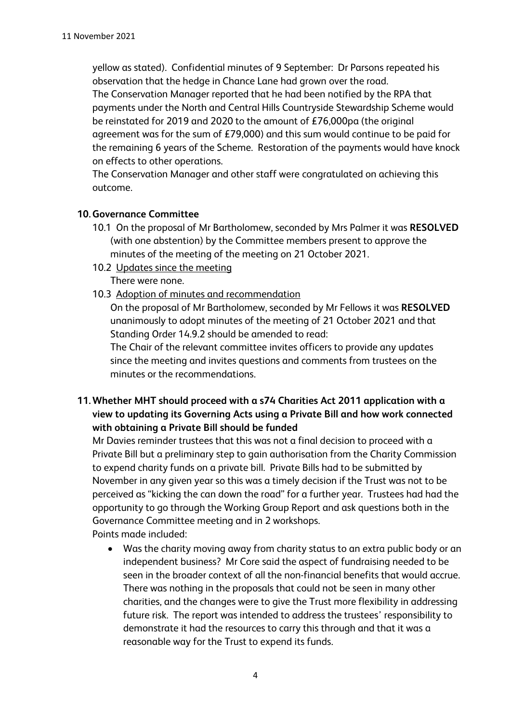yellow as stated). Confidential minutes of 9 September: Dr Parsons repeated his observation that the hedge in Chance Lane had grown over the road. The Conservation Manager reported that he had been notified by the RPA that payments under the North and Central Hills Countryside Stewardship Scheme would be reinstated for 2019 and 2020 to the amount of £76,000pa (the original agreement was for the sum of £79,000) and this sum would continue to be paid for the remaining 6 years of the Scheme. Restoration of the payments would have knock on effects to other operations.

The Conservation Manager and other staff were congratulated on achieving this outcome.

#### **10.Governance Committee**

- 10.1 On the proposal of Mr Bartholomew, seconded by Mrs Palmer it was **RESOLVED**  (with one abstention) by the Committee members present to approve the minutes of the meeting of the meeting on 21 October 2021.
- 10.2 Updates since the meeting

There were none.

10.3 Adoption of minutes and recommendation

On the proposal of Mr Bartholomew, seconded by Mr Fellows it was **RESOLVED** unanimously to adopt minutes of the meeting of 21 October 2021 and that Standing Order 14.9.2 should be amended to read:

The Chair of the relevant committee invites officers to provide any updates since the meeting and invites questions and comments from trustees on the minutes or the recommendations.

**11.Whether MHT should proceed with a s74 Charities Act 2011 application with a view to updating its Governing Acts using a Private Bill and how work connected with obtaining a Private Bill should be funded**

Mr Davies reminder trustees that this was not a final decision to proceed with a Private Bill but a preliminary step to gain authorisation from the Charity Commission to expend charity funds on a private bill. Private Bills had to be submitted by November in any given year so this was a timely decision if the Trust was not to be perceived as "kicking the can down the road" for a further year. Trustees had had the opportunity to go through the Working Group Report and ask questions both in the Governance Committee meeting and in 2 workshops.

Points made included:

• Was the charity moving away from charity status to an extra public body or an independent business? Mr Core said the aspect of fundraising needed to be seen in the broader context of all the non-financial benefits that would accrue. There was nothing in the proposals that could not be seen in many other charities, and the changes were to give the Trust more flexibility in addressing future risk. The report was intended to address the trustees' responsibility to demonstrate it had the resources to carry this through and that it was a reasonable way for the Trust to expend its funds.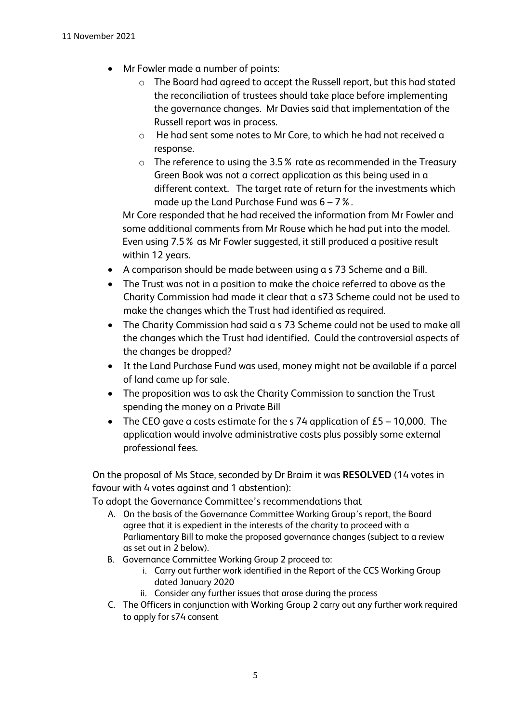- Mr Fowler made a number of points:
	- o The Board had agreed to accept the Russell report, but this had stated the reconciliation of trustees should take place before implementing the governance changes. Mr Davies said that implementation of the Russell report was in process.
	- o He had sent some notes to Mr Core, to which he had not received a response.
	- o The reference to using the 3.5% rate as recommended in the Treasury Green Book was not a correct application as this being used in a different context. The target rate of return for the investments which made up the Land Purchase Fund was  $6 - 7$ %.

Mr Core responded that he had received the information from Mr Fowler and some additional comments from Mr Rouse which he had put into the model. Even using 7.5% as Mr Fowler suggested, it still produced a positive result within 12 years.

- A comparison should be made between using a s 73 Scheme and a Bill.
- The Trust was not in a position to make the choice referred to above as the Charity Commission had made it clear that a s73 Scheme could not be used to make the changes which the Trust had identified as required.
- The Charity Commission had said a s 73 Scheme could not be used to make all the changes which the Trust had identified. Could the controversial aspects of the changes be dropped?
- It the Land Purchase Fund was used, money might not be available if a parcel of land came up for sale.
- The proposition was to ask the Charity Commission to sanction the Trust spending the money on a Private Bill
- The CEO gave a costs estimate for the s 74 application of  $£5 10,000$ . The application would involve administrative costs plus possibly some external professional fees.

On the proposal of Ms Stace, seconded by Dr Braim it was **RESOLVED** (14 votes in favour with 4 votes against and 1 abstention):

To adopt the Governance Committee's recommendations that

- A. On the basis of the Governance Committee Working Group's report, the Board agree that it is expedient in the interests of the charity to proceed with a Parliamentary Bill to make the proposed governance changes (subject to a review as set out in 2 below).
- B. Governance Committee Working Group 2 proceed to:
	- i. Carry out further work identified in the Report of the CCS Working Group dated January 2020
	- ii. Consider any further issues that arose during the process
- C. The Officers in conjunction with Working Group 2 carry out any further work required to apply for s74 consent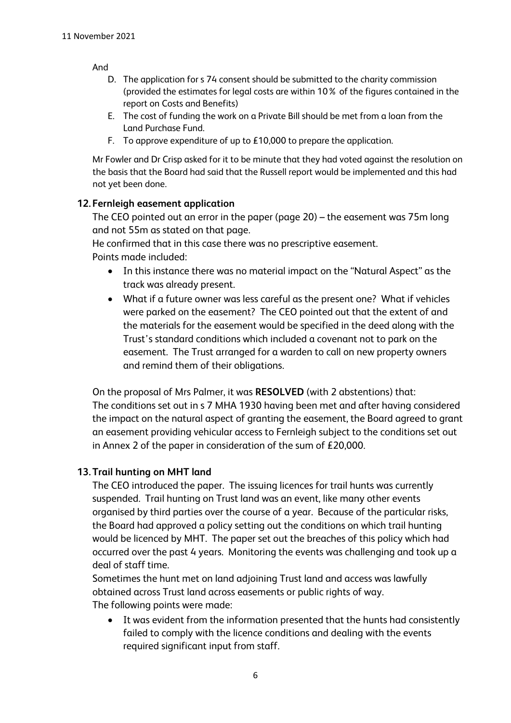And

- D. The application for s 74 consent should be submitted to the charity commission (provided the estimates for legal costs are within 10% of the figures contained in the report on Costs and Benefits)
- E. The cost of funding the work on a Private Bill should be met from a loan from the Land Purchase Fund.
- F. To approve expenditure of up to £10,000 to prepare the application.

Mr Fowler and Dr Crisp asked for it to be minute that they had voted against the resolution on the basis that the Board had said that the Russell report would be implemented and this had not yet been done.

## **12. Fernleigh easement application**

The CEO pointed out an error in the paper (page 20) – the easement was 75m long and not 55m as stated on that page.

He confirmed that in this case there was no prescriptive easement. Points made included:

- In this instance there was no material impact on the "Natural Aspect" as the track was already present.
- What if a future owner was less careful as the present one? What if vehicles were parked on the easement? The CEO pointed out that the extent of and the materials for the easement would be specified in the deed along with the Trust's standard conditions which included a covenant not to park on the easement. The Trust arranged for a warden to call on new property owners and remind them of their obligations.

On the proposal of Mrs Palmer, it was **RESOLVED** (with 2 abstentions) that: The conditions set out in s 7 MHA 1930 having been met and after having considered the impact on the natural aspect of granting the easement, the Board agreed to grant an easement providing vehicular access to Fernleigh subject to the conditions set out in Annex 2 of the paper in consideration of the sum of £20,000.

## **13.Trail hunting on MHT land**

The CEO introduced the paper. The issuing licences for trail hunts was currently suspended. Trail hunting on Trust land was an event, like many other events organised by third parties over the course of a year. Because of the particular risks, the Board had approved a policy setting out the conditions on which trail hunting would be licenced by MHT. The paper set out the breaches of this policy which had occurred over the past 4 years. Monitoring the events was challenging and took up a deal of staff time.

Sometimes the hunt met on land adjoining Trust land and access was lawfully obtained across Trust land across easements or public rights of way. The following points were made:

• It was evident from the information presented that the hunts had consistently failed to comply with the licence conditions and dealing with the events required significant input from staff.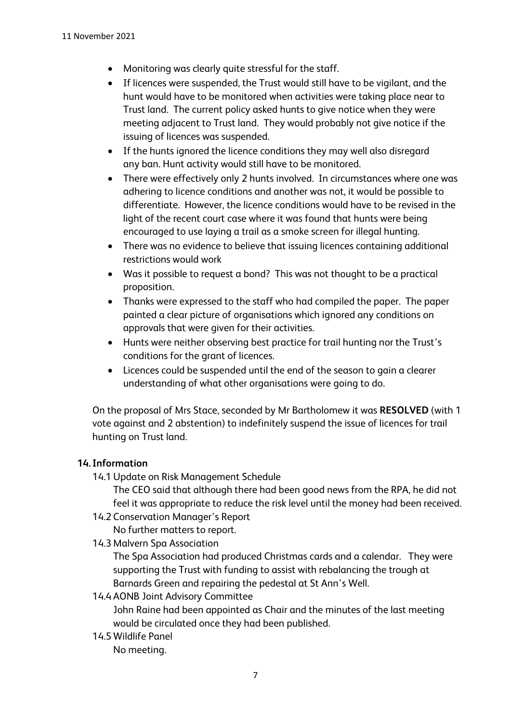- Monitoring was clearly quite stressful for the staff.
- If licences were suspended, the Trust would still have to be vigilant, and the hunt would have to be monitored when activities were taking place near to Trust land. The current policy asked hunts to give notice when they were meeting adjacent to Trust land. They would probably not give notice if the issuing of licences was suspended.
- If the hunts ignored the licence conditions they may well also disregard any ban. Hunt activity would still have to be monitored.
- There were effectively only 2 hunts involved. In circumstances where one was adhering to licence conditions and another was not, it would be possible to differentiate. However, the licence conditions would have to be revised in the light of the recent court case where it was found that hunts were being encouraged to use laying a trail as a smoke screen for illegal hunting.
- There was no evidence to believe that issuing licences containing additional restrictions would work
- Was it possible to request a bond? This was not thought to be a practical proposition.
- Thanks were expressed to the staff who had compiled the paper. The paper painted a clear picture of organisations which ignored any conditions on approvals that were given for their activities.
- Hunts were neither observing best practice for trail hunting nor the Trust's conditions for the grant of licences.
- Licences could be suspended until the end of the season to gain a clearer understanding of what other organisations were going to do.

On the proposal of Mrs Stace, seconded by Mr Bartholomew it was **RESOLVED** (with 1 vote against and 2 abstention) to indefinitely suspend the issue of licences for trail hunting on Trust land.

## **14. Information**

14.1 Update on Risk Management Schedule

The CEO said that although there had been good news from the RPA, he did not feel it was appropriate to reduce the risk level until the money had been received.

- 14.2 Conservation Manager's Report
	- No further matters to report.
- 14.3 Malvern Spa Association

The Spa Association had produced Christmas cards and a calendar. They were supporting the Trust with funding to assist with rebalancing the trough at Barnards Green and repairing the pedestal at St Ann's Well.

14.4 AONB Joint Advisory Committee

John Raine had been appointed as Chair and the minutes of the last meeting would be circulated once they had been published.

14.5 Wildlife Panel

No meeting.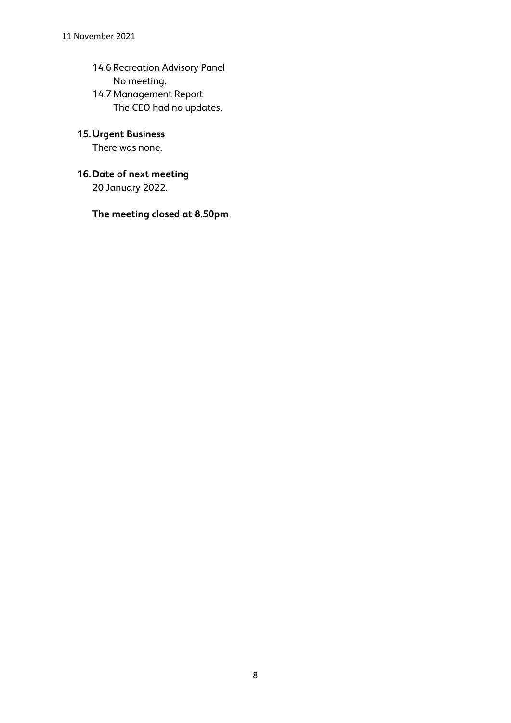14.6 Recreation Advisory Panel No meeting. 14.7 Management Report The CEO had no updates.

# **15.Urgent Business**

There was none.

# **16.Date of next meeting**

20 January 2022.

**The meeting closed at 8.50pm**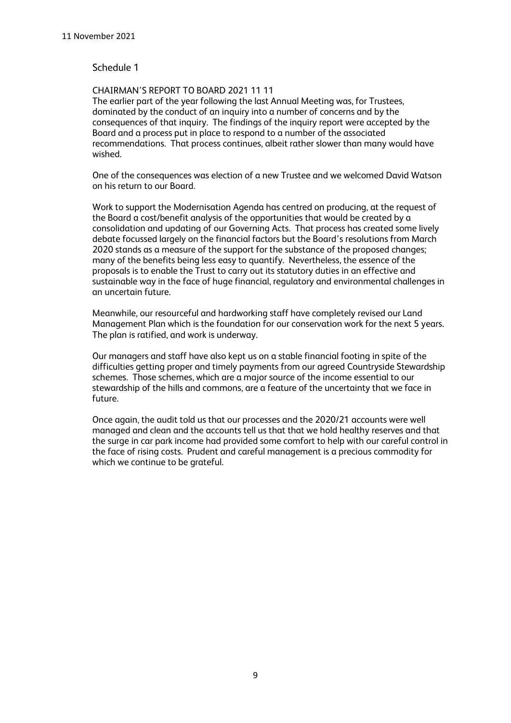#### Schedule 1

#### CHAIRMAN'S REPORT TO BOARD 2021 11 11

The earlier part of the year following the last Annual Meeting was, for Trustees, dominated by the conduct of an inquiry into a number of concerns and by the consequences of that inquiry. The findings of the inquiry report were accepted by the Board and a process put in place to respond to a number of the associated recommendations. That process continues, albeit rather slower than many would have wished.

One of the consequences was election of a new Trustee and we welcomed David Watson on his return to our Board.

Work to support the Modernisation Agenda has centred on producing, at the request of the Board a cost/benefit analysis of the opportunities that would be created by a consolidation and updating of our Governing Acts. That process has created some lively debate focussed largely on the financial factors but the Board's resolutions from March 2020 stands as a measure of the support for the substance of the proposed changes; many of the benefits being less easy to quantify. Nevertheless, the essence of the proposals is to enable the Trust to carry out its statutory duties in an effective and sustainable way in the face of huge financial, regulatory and environmental challenges in an uncertain future.

Meanwhile, our resourceful and hardworking staff have completely revised our Land Management Plan which is the foundation for our conservation work for the next 5 years. The plan is ratified, and work is underway.

Our managers and staff have also kept us on a stable financial footing in spite of the difficulties getting proper and timely payments from our agreed Countryside Stewardship schemes. Those schemes, which are a major source of the income essential to our stewardship of the hills and commons, are a feature of the uncertainty that we face in future.

Once again, the audit told us that our processes and the 2020/21 accounts were well managed and clean and the accounts tell us that that we hold healthy reserves and that the surge in car park income had provided some comfort to help with our careful control in the face of rising costs. Prudent and careful management is a precious commodity for which we continue to be grateful.